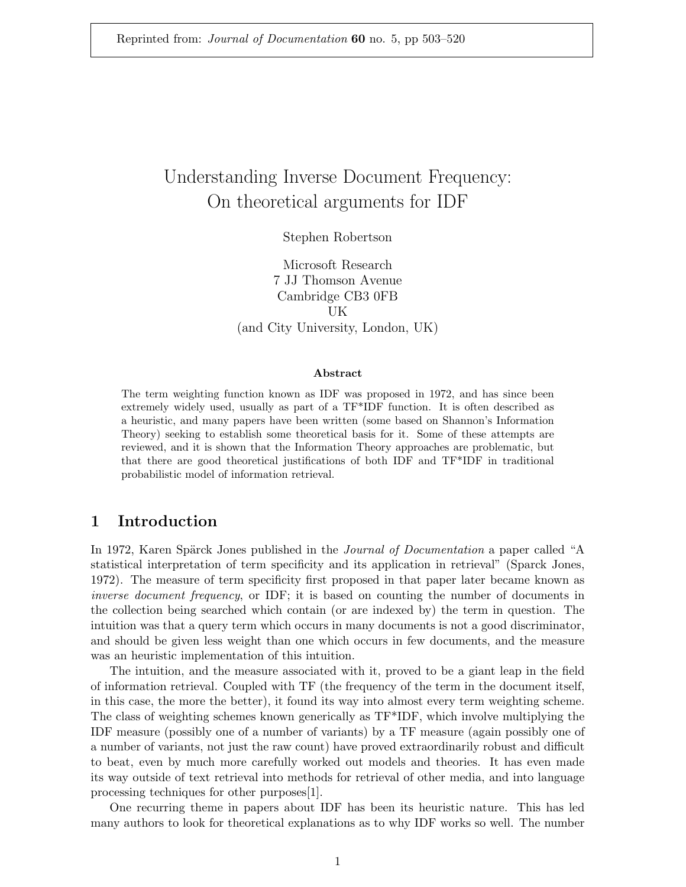# Understanding Inverse Document Frequency: On theoretical arguments for IDF

Stephen Robertson

Microsoft Research 7 JJ Thomson Avenue Cambridge CB3 0FB UK (and City University, London, UK)

#### Abstract

The term weighting function known as IDF was proposed in 1972, and has since been extremely widely used, usually as part of a TF\*IDF function. It is often described as a heuristic, and many papers have been written (some based on Shannon's Information Theory) seeking to establish some theoretical basis for it. Some of these attempts are reviewed, and it is shown that the Information Theory approaches are problematic, but that there are good theoretical justifications of both IDF and TF\*IDF in traditional probabilistic model of information retrieval.

### 1 Introduction

In 1972, Karen Spärck Jones published in the *Journal of Documentation* a paper called "A statistical interpretation of term specificity and its application in retrieval" (Sparck Jones, 1972). The measure of term specificity first proposed in that paper later became known as inverse document frequency, or IDF; it is based on counting the number of documents in the collection being searched which contain (or are indexed by) the term in question. The intuition was that a query term which occurs in many documents is not a good discriminator, and should be given less weight than one which occurs in few documents, and the measure was an heuristic implementation of this intuition.

The intuition, and the measure associated with it, proved to be a giant leap in the field of information retrieval. Coupled with TF (the frequency of the term in the document itself, in this case, the more the better), it found its way into almost every term weighting scheme. The class of weighting schemes known generically as TF\*IDF, which involve multiplying the IDF measure (possibly one of a number of variants) by a TF measure (again possibly one of a number of variants, not just the raw count) have proved extraordinarily robust and difficult to beat, even by much more carefully worked out models and theories. It has even made its way outside of text retrieval into methods for retrieval of other media, and into language processing techniques for other purposes[1].

One recurring theme in papers about IDF has been its heuristic nature. This has led many authors to look for theoretical explanations as to why IDF works so well. The number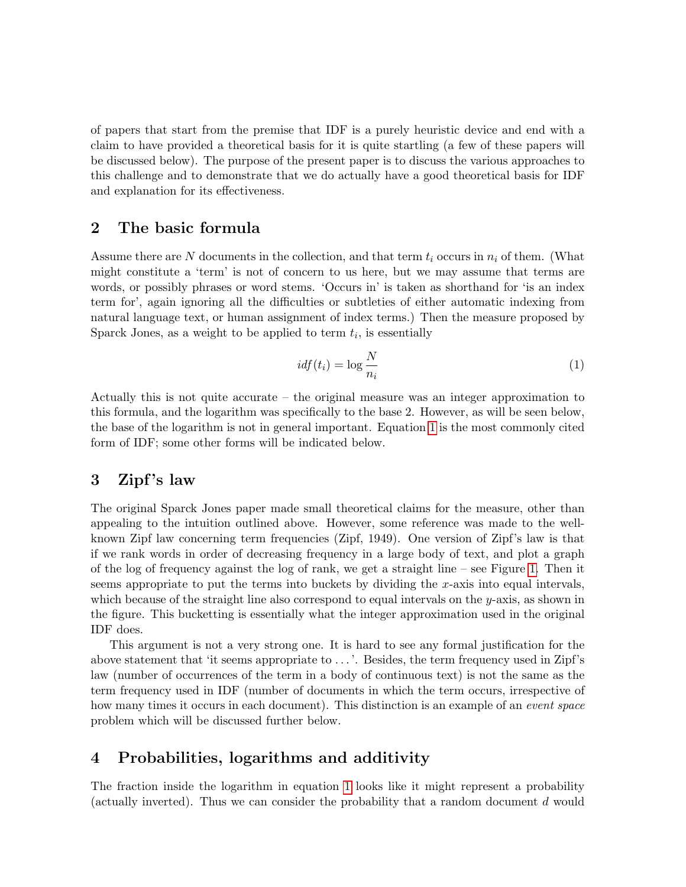of papers that start from the premise that IDF is a purely heuristic device and end with a claim to have provided a theoretical basis for it is quite startling (a few of these papers will be discussed below). The purpose of the present paper is to discuss the various approaches to this challenge and to demonstrate that we do actually have a good theoretical basis for IDF and explanation for its effectiveness.

# 2 The basic formula

Assume there are N documents in the collection, and that term  $t_i$  occurs in  $n_i$  of them. (What might constitute a 'term' is not of concern to us here, but we may assume that terms are words, or possibly phrases or word stems. 'Occurs in' is taken as shorthand for 'is an index term for', again ignoring all the difficulties or subtleties of either automatic indexing from natural language text, or human assignment of index terms.) Then the measure proposed by Sparck Jones, as a weight to be applied to term  $t_i$ , is essentially

<span id="page-1-0"></span>
$$
idf(t_i) = \log \frac{N}{n_i} \tag{1}
$$

Actually this is not quite accurate – the original measure was an integer approximation to this formula, and the logarithm was specifically to the base 2. However, as will be seen below, the base of the logarithm is not in general important. Equation [1](#page-1-0) is the most commonly cited form of IDF; some other forms will be indicated below.

# 3 Zipf's law

The original Sparck Jones paper made small theoretical claims for the measure, other than appealing to the intuition outlined above. However, some reference was made to the wellknown Zipf law concerning term frequencies (Zipf, 1949). One version of Zipf's law is that if we rank words in order of decreasing frequency in a large body of text, and plot a graph of the log of frequency against the log of rank, we get a straight line – see Figure [1.](#page-2-0) Then it seems appropriate to put the terms into buckets by dividing the x-axis into equal intervals, which because of the straight line also correspond to equal intervals on the  $y$ -axis, as shown in the figure. This bucketting is essentially what the integer approximation used in the original IDF does.

This argument is not a very strong one. It is hard to see any formal justification for the above statement that 'it seems appropriate to ...'. Besides, the term frequency used in Zipf's law (number of occurrences of the term in a body of continuous text) is not the same as the term frequency used in IDF (number of documents in which the term occurs, irrespective of how many times it occurs in each document). This distinction is an example of an *event space* problem which will be discussed further below.

# <span id="page-1-1"></span>4 Probabilities, logarithms and additivity

The fraction inside the logarithm in equation [1](#page-1-0) looks like it might represent a probability (actually inverted). Thus we can consider the probability that a random document d would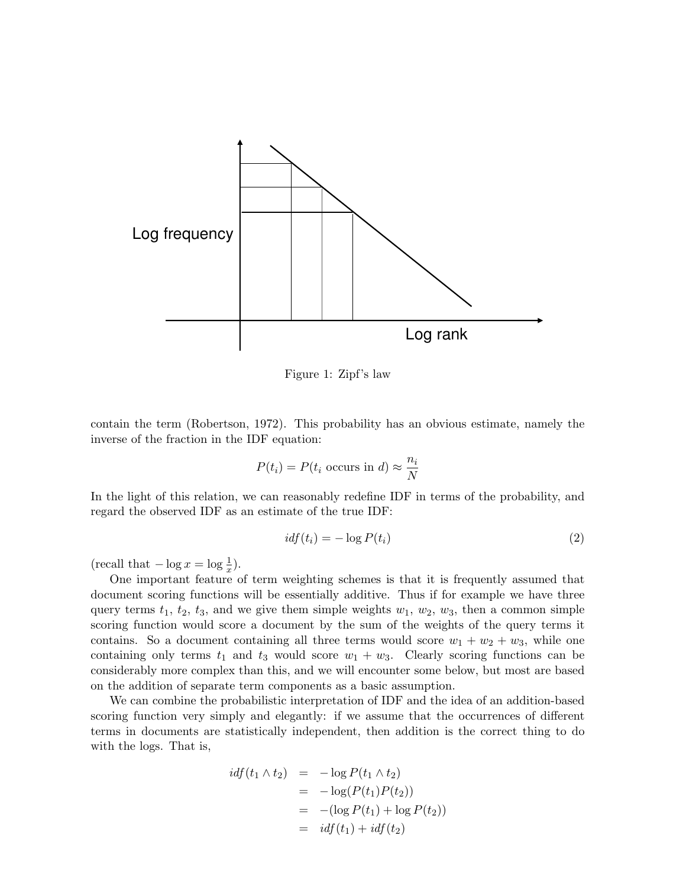

<span id="page-2-0"></span>Figure 1: Zipf's law

contain the term (Robertson, 1972). This probability has an obvious estimate, namely the inverse of the fraction in the IDF equation:

$$
P(t_i) = P(t_i \text{ occurs in } d) \approx \frac{n_i}{N}
$$

In the light of this relation, we can reasonably redefine IDF in terms of the probability, and regard the observed IDF as an estimate of the true IDF:

<span id="page-2-1"></span>
$$
idf(t_i) = -\log P(t_i) \tag{2}
$$

 $(\text{recall that } -\log x = \log \frac{1}{x}).$ 

One important feature of term weighting schemes is that it is frequently assumed that document scoring functions will be essentially additive. Thus if for example we have three query terms  $t_1$ ,  $t_2$ ,  $t_3$ , and we give them simple weights  $w_1$ ,  $w_2$ ,  $w_3$ , then a common simple scoring function would score a document by the sum of the weights of the query terms it contains. So a document containing all three terms would score  $w_1 + w_2 + w_3$ , while one containing only terms  $t_1$  and  $t_3$  would score  $w_1 + w_3$ . Clearly scoring functions can be considerably more complex than this, and we will encounter some below, but most are based on the addition of separate term components as a basic assumption.

We can combine the probabilistic interpretation of IDF and the idea of an addition-based scoring function very simply and elegantly: if we assume that the occurrences of different terms in documents are statistically independent, then addition is the correct thing to do with the logs. That is,

$$
idf(t_1 \wedge t_2) = -\log P(t_1 \wedge t_2)
$$
  
= 
$$
-\log(P(t_1)P(t_2))
$$
  
= 
$$
-(\log P(t_1) + \log P(t_2))
$$
  
= 
$$
idf(t_1) + idf(t_2)
$$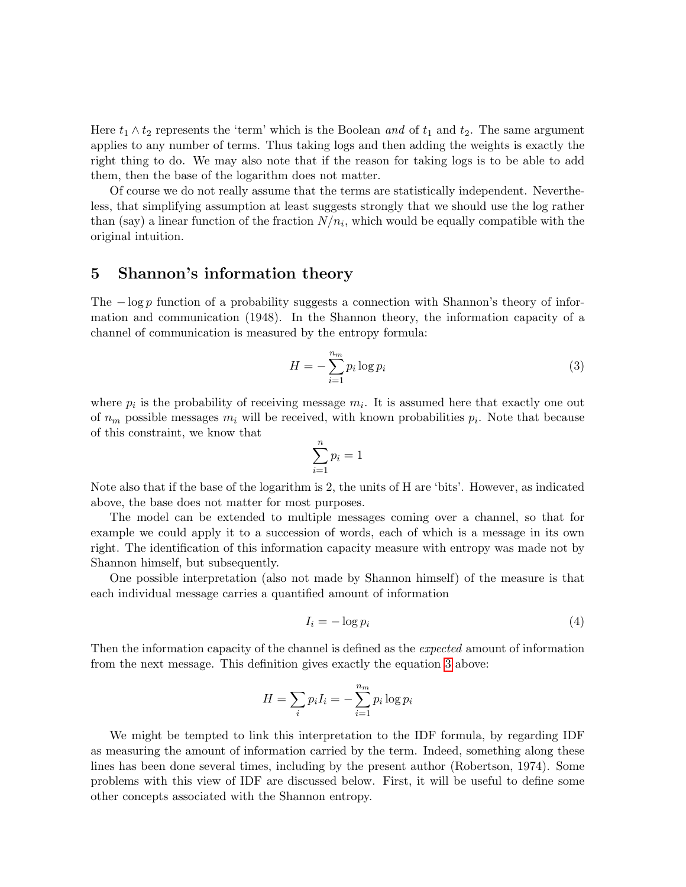Here  $t_1 \wedge t_2$  represents the 'term' which is the Boolean and of  $t_1$  and  $t_2$ . The same argument applies to any number of terms. Thus taking logs and then adding the weights is exactly the right thing to do. We may also note that if the reason for taking logs is to be able to add them, then the base of the logarithm does not matter.

Of course we do not really assume that the terms are statistically independent. Nevertheless, that simplifying assumption at least suggests strongly that we should use the log rather than (say) a linear function of the fraction  $N/n_i$ , which would be equally compatible with the original intuition.

# <span id="page-3-1"></span>5 Shannon's information theory

The  $-\log p$  function of a probability suggests a connection with Shannon's theory of information and communication (1948). In the Shannon theory, the information capacity of a channel of communication is measured by the entropy formula:

$$
H = -\sum_{i=1}^{n_m} p_i \log p_i \tag{3}
$$

<span id="page-3-0"></span>where  $p_i$  is the probability of receiving message  $m_i$ . It is assumed here that exactly one out of  $n_m$  possible messages  $m_i$  will be received, with known probabilities  $p_i$ . Note that because of this constraint, we know that

$$
\sum_{i=1}^{n} p_i = 1
$$

Note also that if the base of the logarithm is 2, the units of H are 'bits'. However, as indicated above, the base does not matter for most purposes.

The model can be extended to multiple messages coming over a channel, so that for example we could apply it to a succession of words, each of which is a message in its own right. The identification of this information capacity measure with entropy was made not by Shannon himself, but subsequently.

One possible interpretation (also not made by Shannon himself) of the measure is that each individual message carries a quantified amount of information

$$
I_i = -\log p_i \tag{4}
$$

<span id="page-3-2"></span>Then the information capacity of the channel is defined as the expected amount of information from the next message. This definition gives exactly the equation [3](#page-3-0) above:

$$
H = \sum_{i} p_i I_i = -\sum_{i=1}^{n_m} p_i \log p_i
$$

We might be tempted to link this interpretation to the IDF formula, by regarding IDF as measuring the amount of information carried by the term. Indeed, something along these lines has been done several times, including by the present author (Robertson, 1974). Some problems with this view of IDF are discussed below. First, it will be useful to define some other concepts associated with the Shannon entropy.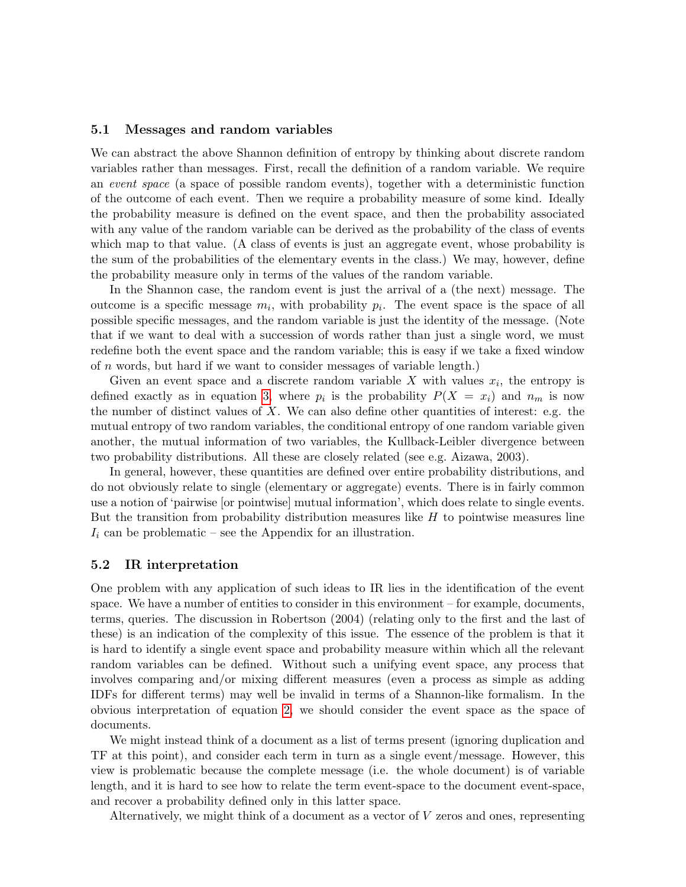#### 5.1 Messages and random variables

We can abstract the above Shannon definition of entropy by thinking about discrete random variables rather than messages. First, recall the definition of a random variable. We require an event space (a space of possible random events), together with a deterministic function of the outcome of each event. Then we require a probability measure of some kind. Ideally the probability measure is defined on the event space, and then the probability associated with any value of the random variable can be derived as the probability of the class of events which map to that value. (A class of events is just an aggregate event, whose probability is the sum of the probabilities of the elementary events in the class.) We may, however, define the probability measure only in terms of the values of the random variable.

In the Shannon case, the random event is just the arrival of a (the next) message. The outcome is a specific message  $m_i$ , with probability  $p_i$ . The event space is the space of all possible specific messages, and the random variable is just the identity of the message. (Note that if we want to deal with a succession of words rather than just a single word, we must redefine both the event space and the random variable; this is easy if we take a fixed window of n words, but hard if we want to consider messages of variable length.)

Given an event space and a discrete random variable X with values  $x_i$ , the entropy is defined exactly as in equation [3,](#page-3-0) where  $p_i$  is the probability  $P(X = x_i)$  and  $n_m$  is now the number of distinct values of  $X$ . We can also define other quantities of interest: e.g. the mutual entropy of two random variables, the conditional entropy of one random variable given another, the mutual information of two variables, the Kullback-Leibler divergence between two probability distributions. All these are closely related (see e.g. Aizawa, 2003).

In general, however, these quantities are defined over entire probability distributions, and do not obviously relate to single (elementary or aggregate) events. There is in fairly common use a notion of 'pairwise [or pointwise] mutual information', which does relate to single events. But the transition from probability distribution measures like  $H$  to pointwise measures line  $I_i$  can be problematic – see the Appendix for an illustration.

### 5.2 IR interpretation

One problem with any application of such ideas to IR lies in the identification of the event space. We have a number of entities to consider in this environment – for example, documents, terms, queries. The discussion in Robertson (2004) (relating only to the first and the last of these) is an indication of the complexity of this issue. The essence of the problem is that it is hard to identify a single event space and probability measure within which all the relevant random variables can be defined. Without such a unifying event space, any process that involves comparing and/or mixing different measures (even a process as simple as adding IDFs for different terms) may well be invalid in terms of a Shannon-like formalism. In the obvious interpretation of equation [2,](#page-2-1) we should consider the event space as the space of documents.

We might instead think of a document as a list of terms present (ignoring duplication and TF at this point), and consider each term in turn as a single event/message. However, this view is problematic because the complete message (i.e. the whole document) is of variable length, and it is hard to see how to relate the term event-space to the document event-space, and recover a probability defined only in this latter space.

Alternatively, we might think of a document as a vector of  $V$  zeros and ones, representing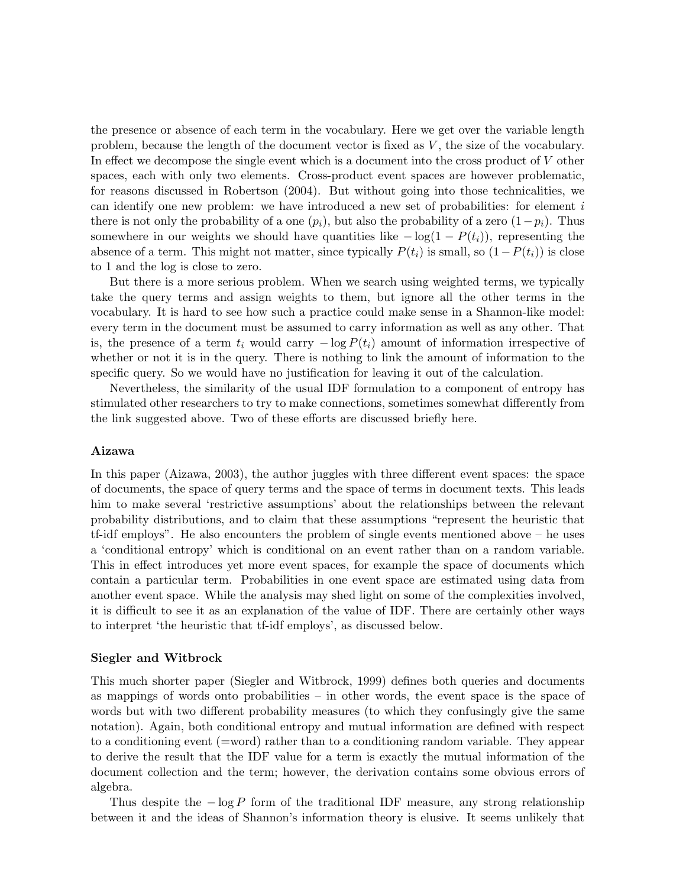the presence or absence of each term in the vocabulary. Here we get over the variable length problem, because the length of the document vector is fixed as  $V$ , the size of the vocabulary. In effect we decompose the single event which is a document into the cross product of V other spaces, each with only two elements. Cross-product event spaces are however problematic, for reasons discussed in Robertson (2004). But without going into those technicalities, we can identify one new problem: we have introduced a new set of probabilities: for element i there is not only the probability of a one  $(p_i)$ , but also the probability of a zero  $(1-p_i)$ . Thus somewhere in our weights we should have quantities like  $-\log(1 - P(t_i))$ , representing the absence of a term. This might not matter, since typically  $P(t_i)$  is small, so  $(1-P(t_i))$  is close to 1 and the log is close to zero.

But there is a more serious problem. When we search using weighted terms, we typically take the query terms and assign weights to them, but ignore all the other terms in the vocabulary. It is hard to see how such a practice could make sense in a Shannon-like model: every term in the document must be assumed to carry information as well as any other. That is, the presence of a term  $t_i$  would carry  $-\log P(t_i)$  amount of information irrespective of whether or not it is in the query. There is nothing to link the amount of information to the specific query. So we would have no justification for leaving it out of the calculation.

Nevertheless, the similarity of the usual IDF formulation to a component of entropy has stimulated other researchers to try to make connections, sometimes somewhat differently from the link suggested above. Two of these efforts are discussed briefly here.

#### Aizawa

In this paper (Aizawa, 2003), the author juggles with three different event spaces: the space of documents, the space of query terms and the space of terms in document texts. This leads him to make several 'restrictive assumptions' about the relationships between the relevant probability distributions, and to claim that these assumptions "represent the heuristic that tf-idf employs". He also encounters the problem of single events mentioned above – he uses a 'conditional entropy' which is conditional on an event rather than on a random variable. This in effect introduces yet more event spaces, for example the space of documents which contain a particular term. Probabilities in one event space are estimated using data from another event space. While the analysis may shed light on some of the complexities involved, it is difficult to see it as an explanation of the value of IDF. There are certainly other ways to interpret 'the heuristic that tf-idf employs', as discussed below.

#### Siegler and Witbrock

This much shorter paper (Siegler and Witbrock, 1999) defines both queries and documents as mappings of words onto probabilities – in other words, the event space is the space of words but with two different probability measures (to which they confusingly give the same notation). Again, both conditional entropy and mutual information are defined with respect to a conditioning event (=word) rather than to a conditioning random variable. They appear to derive the result that the IDF value for a term is exactly the mutual information of the document collection and the term; however, the derivation contains some obvious errors of algebra.

Thus despite the  $-\log P$  form of the traditional IDF measure, any strong relationship between it and the ideas of Shannon's information theory is elusive. It seems unlikely that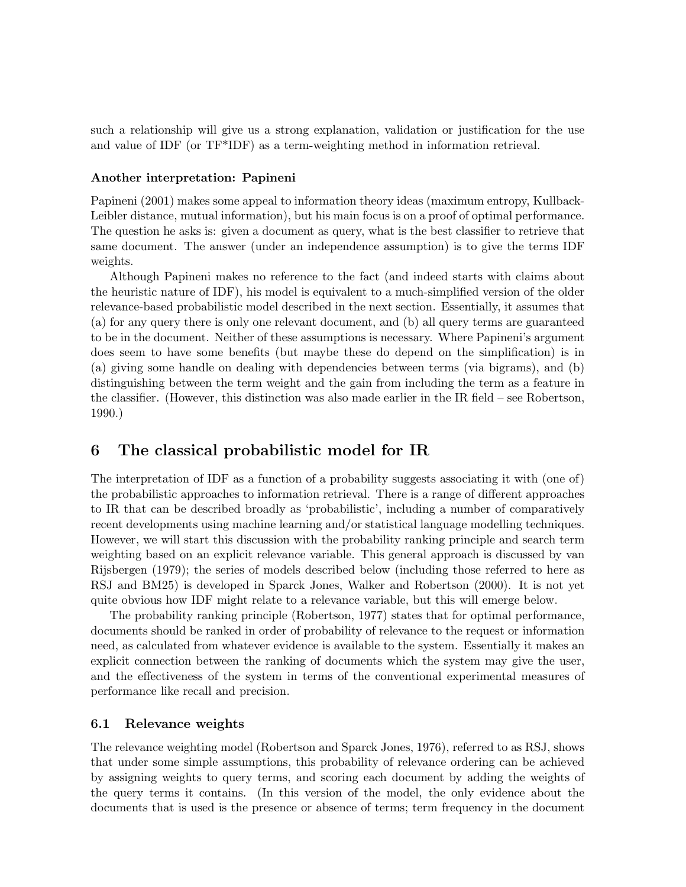such a relationship will give us a strong explanation, validation or justification for the use and value of IDF (or TF\*IDF) as a term-weighting method in information retrieval.

#### Another interpretation: Papineni

Papineni (2001) makes some appeal to information theory ideas (maximum entropy, Kullback-Leibler distance, mutual information), but his main focus is on a proof of optimal performance. The question he asks is: given a document as query, what is the best classifier to retrieve that same document. The answer (under an independence assumption) is to give the terms IDF weights.

Although Papineni makes no reference to the fact (and indeed starts with claims about the heuristic nature of IDF), his model is equivalent to a much-simplified version of the older relevance-based probabilistic model described in the next section. Essentially, it assumes that (a) for any query there is only one relevant document, and (b) all query terms are guaranteed to be in the document. Neither of these assumptions is necessary. Where Papineni's argument does seem to have some benefits (but maybe these do depend on the simplification) is in (a) giving some handle on dealing with dependencies between terms (via bigrams), and (b) distinguishing between the term weight and the gain from including the term as a feature in the classifier. (However, this distinction was also made earlier in the IR field – see Robertson, 1990.)

# 6 The classical probabilistic model for IR

The interpretation of IDF as a function of a probability suggests associating it with (one of) the probabilistic approaches to information retrieval. There is a range of different approaches to IR that can be described broadly as 'probabilistic', including a number of comparatively recent developments using machine learning and/or statistical language modelling techniques. However, we will start this discussion with the probability ranking principle and search term weighting based on an explicit relevance variable. This general approach is discussed by van Rijsbergen (1979); the series of models described below (including those referred to here as RSJ and BM25) is developed in Sparck Jones, Walker and Robertson (2000). It is not yet quite obvious how IDF might relate to a relevance variable, but this will emerge below.

The probability ranking principle (Robertson, 1977) states that for optimal performance, documents should be ranked in order of probability of relevance to the request or information need, as calculated from whatever evidence is available to the system. Essentially it makes an explicit connection between the ranking of documents which the system may give the user, and the effectiveness of the system in terms of the conventional experimental measures of performance like recall and precision.

### 6.1 Relevance weights

The relevance weighting model (Robertson and Sparck Jones, 1976), referred to as RSJ, shows that under some simple assumptions, this probability of relevance ordering can be achieved by assigning weights to query terms, and scoring each document by adding the weights of the query terms it contains. (In this version of the model, the only evidence about the documents that is used is the presence or absence of terms; term frequency in the document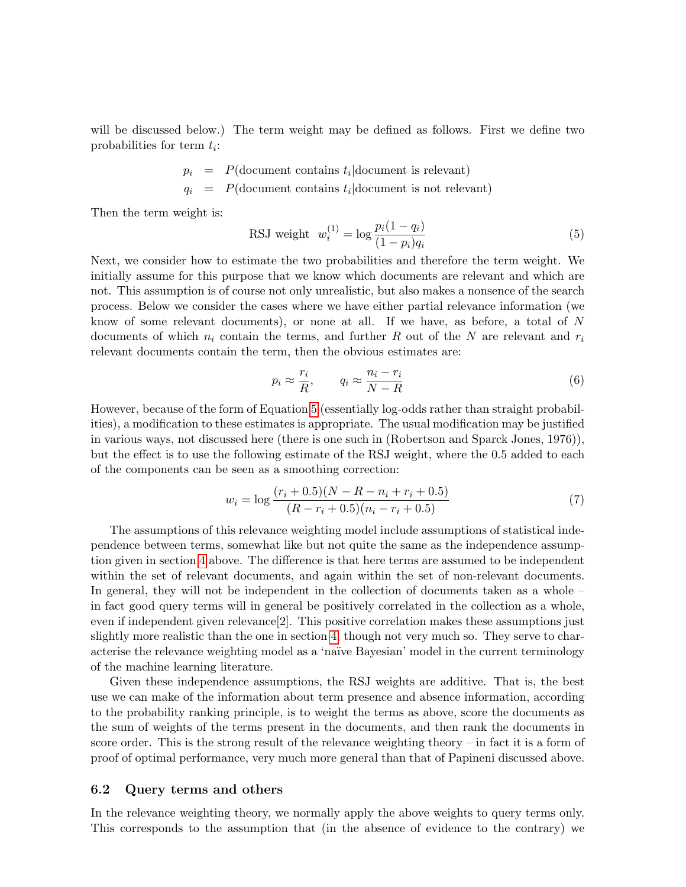will be discussed below.) The term weight may be defined as follows. First we define two probabilities for term  $t_i$ :

$$
p_i = P(\text{document contains } t_i | \text{document is relevant})
$$
  

$$
q_i = P(\text{document contains } t_i | \text{document is not relevant})
$$

Then the term weight is:

<span id="page-7-0"></span>RSJ weight 
$$
w_i^{(1)} = \log \frac{p_i(1 - q_i)}{(1 - p_i)q_i}
$$
 (5)

Next, we consider how to estimate the two probabilities and therefore the term weight. We initially assume for this purpose that we know which documents are relevant and which are not. This assumption is of course not only unrealistic, but also makes a nonsence of the search process. Below we consider the cases where we have either partial relevance information (we know of some relevant documents), or none at all. If we have, as before, a total of N documents of which  $n_i$  contain the terms, and further R out of the N are relevant and  $r_i$ relevant documents contain the term, then the obvious estimates are:

<span id="page-7-1"></span>
$$
p_i \approx \frac{r_i}{R}, \qquad q_i \approx \frac{n_i - r_i}{N - R} \tag{6}
$$

However, because of the form of Equation [5](#page-7-0) (essentially log-odds rather than straight probabilities), a modification to these estimates is appropriate. The usual modification may be justified in various ways, not discussed here (there is one such in (Robertson and Sparck Jones, 1976)), but the effect is to use the following estimate of the RSJ weight, where the 0.5 added to each of the components can be seen as a smoothing correction:

<span id="page-7-2"></span>
$$
w_i = \log \frac{(r_i + 0.5)(N - R - n_i + r_i + 0.5)}{(R - r_i + 0.5)(n_i - r_i + 0.5)}
$$
(7)

The assumptions of this relevance weighting model include assumptions of statistical independence between terms, somewhat like but not quite the same as the independence assumption given in section [4](#page-1-1) above. The difference is that here terms are assumed to be independent within the set of relevant documents, and again within the set of non-relevant documents. In general, they will not be independent in the collection of documents taken as a whole – in fact good query terms will in general be positively correlated in the collection as a whole, even if independent given relevance[2]. This positive correlation makes these assumptions just slightly more realistic than the one in section [4,](#page-1-1) though not very much so. They serve to characterise the relevance weighting model as a 'naïve Bayesian' model in the current terminology of the machine learning literature.

Given these independence assumptions, the RSJ weights are additive. That is, the best use we can make of the information about term presence and absence information, according to the probability ranking principle, is to weight the terms as above, score the documents as the sum of weights of the terms present in the documents, and then rank the documents in score order. This is the strong result of the relevance weighting theory – in fact it is a form of proof of optimal performance, very much more general than that of Papineni discussed above.

### 6.2 Query terms and others

In the relevance weighting theory, we normally apply the above weights to query terms only. This corresponds to the assumption that (in the absence of evidence to the contrary) we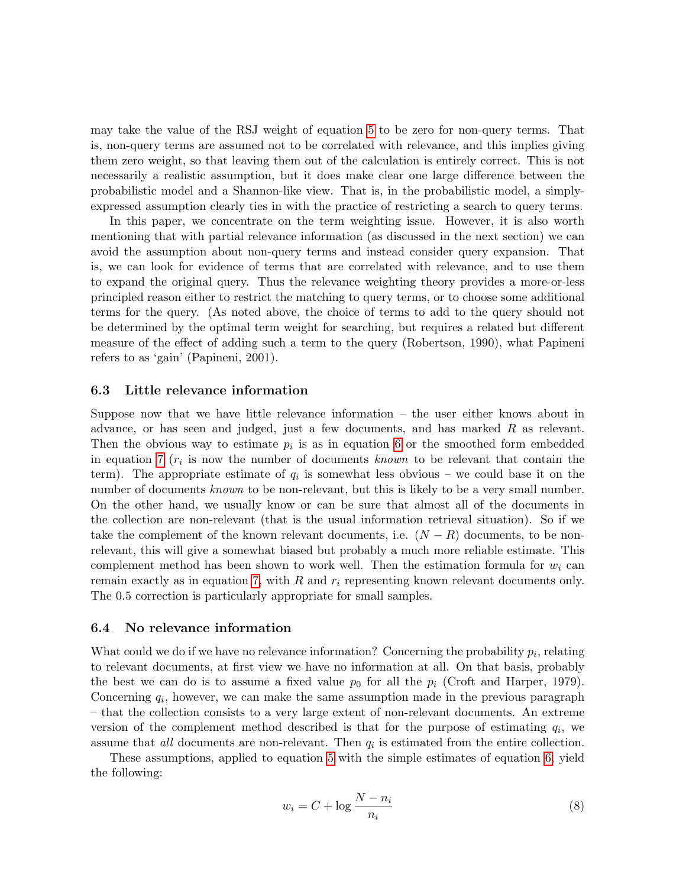may take the value of the RSJ weight of equation [5](#page-7-0) to be zero for non-query terms. That is, non-query terms are assumed not to be correlated with relevance, and this implies giving them zero weight, so that leaving them out of the calculation is entirely correct. This is not necessarily a realistic assumption, but it does make clear one large difference between the probabilistic model and a Shannon-like view. That is, in the probabilistic model, a simplyexpressed assumption clearly ties in with the practice of restricting a search to query terms.

In this paper, we concentrate on the term weighting issue. However, it is also worth mentioning that with partial relevance information (as discussed in the next section) we can avoid the assumption about non-query terms and instead consider query expansion. That is, we can look for evidence of terms that are correlated with relevance, and to use them to expand the original query. Thus the relevance weighting theory provides a more-or-less principled reason either to restrict the matching to query terms, or to choose some additional terms for the query. (As noted above, the choice of terms to add to the query should not be determined by the optimal term weight for searching, but requires a related but different measure of the effect of adding such a term to the query (Robertson, 1990), what Papineni refers to as 'gain' (Papineni, 2001).

### 6.3 Little relevance information

Suppose now that we have little relevance information – the user either knows about in advance, or has seen and judged, just a few documents, and has marked  $R$  as relevant. Then the obvious way to estimate  $p_i$  is as in equation [6](#page-7-1) or the smoothed form embedded in equation [7](#page-7-2)  $(r_i)$  is now the number of documents known to be relevant that contain the term). The appropriate estimate of  $q_i$  is somewhat less obvious – we could base it on the number of documents *known* to be non-relevant, but this is likely to be a very small number. On the other hand, we usually know or can be sure that almost all of the documents in the collection are non-relevant (that is the usual information retrieval situation). So if we take the complement of the known relevant documents, i.e.  $(N - R)$  documents, to be nonrelevant, this will give a somewhat biased but probably a much more reliable estimate. This complement method has been shown to work well. Then the estimation formula for  $w_i$  can remain exactly as in equation [7,](#page-7-2) with  $R$  and  $r_i$  representing known relevant documents only. The 0.5 correction is particularly appropriate for small samples.

#### 6.4 No relevance information

What could we do if we have no relevance information? Concerning the probability  $p_i$ , relating to relevant documents, at first view we have no information at all. On that basis, probably the best we can do is to assume a fixed value  $p_0$  for all the  $p_i$  (Croft and Harper, 1979). Concerning  $q_i$ , however, we can make the same assumption made in the previous paragraph – that the collection consists to a very large extent of non-relevant documents. An extreme version of the complement method described is that for the purpose of estimating  $q_i$ , we assume that *all* documents are non-relevant. Then  $q_i$  is estimated from the entire collection.

These assumptions, applied to equation [5](#page-7-0) with the simple estimates of equation [6,](#page-7-1) yield the following:

<span id="page-8-0"></span>
$$
w_i = C + \log \frac{N - n_i}{n_i} \tag{8}
$$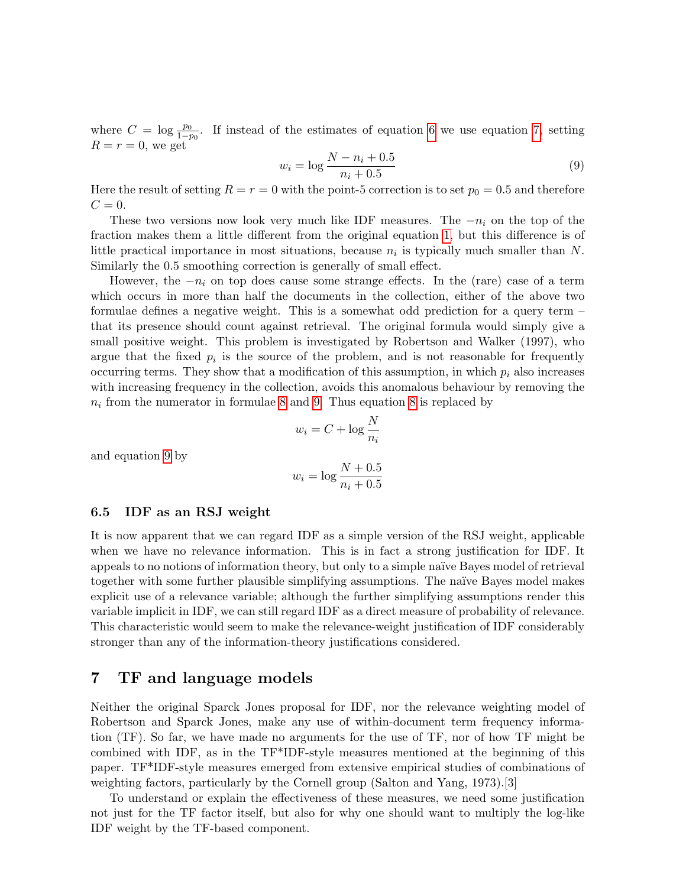where  $C = \log \frac{p_0}{1-p_0}$ . If instead of the estimates of equation [6](#page-7-1) we use equation [7,](#page-7-2) setting  $R = r = 0$ , we get

<span id="page-9-0"></span>
$$
w_i = \log \frac{N - n_i + 0.5}{n_i + 0.5}
$$
\n(9)

Here the result of setting  $R = r = 0$  with the point-5 correction is to set  $p_0 = 0.5$  and therefore  $C=0.$ 

These two versions now look very much like IDF measures. The  $-n<sub>i</sub>$  on the top of the fraction makes them a little different from the original equation [1,](#page-1-0) but this difference is of little practical importance in most situations, because  $n_i$  is typically much smaller than N. Similarly the 0.5 smoothing correction is generally of small effect.

However, the  $-n_i$  on top does cause some strange effects. In the (rare) case of a term which occurs in more than half the documents in the collection, either of the above two formulae defines a negative weight. This is a somewhat odd prediction for a query term – that its presence should count against retrieval. The original formula would simply give a small positive weight. This problem is investigated by Robertson and Walker (1997), who argue that the fixed  $p_i$  is the source of the problem, and is not reasonable for frequently occurring terms. They show that a modification of this assumption, in which  $p_i$  also increases with increasing frequency in the collection, avoids this anomalous behaviour by removing the  $n_i$  from the numerator in formulae [8](#page-8-0) and [9.](#page-9-0) Thus equation 8 is replaced by

and equation [9](#page-9-0) by

$$
w_i = \log \frac{N + 0.5}{n_i + 0.5}
$$

 $w_i = C + \log \frac{N}{n_i}$ 

#### 6.5 IDF as an RSJ weight

It is now apparent that we can regard IDF as a simple version of the RSJ weight, applicable when we have no relevance information. This is in fact a strong justification for IDF. It appeals to no notions of information theory, but only to a simple na¨ıve Bayes model of retrieval together with some further plausible simplifying assumptions. The na¨ıve Bayes model makes explicit use of a relevance variable; although the further simplifying assumptions render this variable implicit in IDF, we can still regard IDF as a direct measure of probability of relevance. This characteristic would seem to make the relevance-weight justification of IDF considerably stronger than any of the information-theory justifications considered.

# 7 TF and language models

Neither the original Sparck Jones proposal for IDF, nor the relevance weighting model of Robertson and Sparck Jones, make any use of within-document term frequency information (TF). So far, we have made no arguments for the use of TF, nor of how TF might be combined with IDF, as in the TF\*IDF-style measures mentioned at the beginning of this paper. TF\*IDF-style measures emerged from extensive empirical studies of combinations of weighting factors, particularly by the Cornell group (Salton and Yang, 1973).[3]

To understand or explain the effectiveness of these measures, we need some justification not just for the TF factor itself, but also for why one should want to multiply the log-like IDF weight by the TF-based component.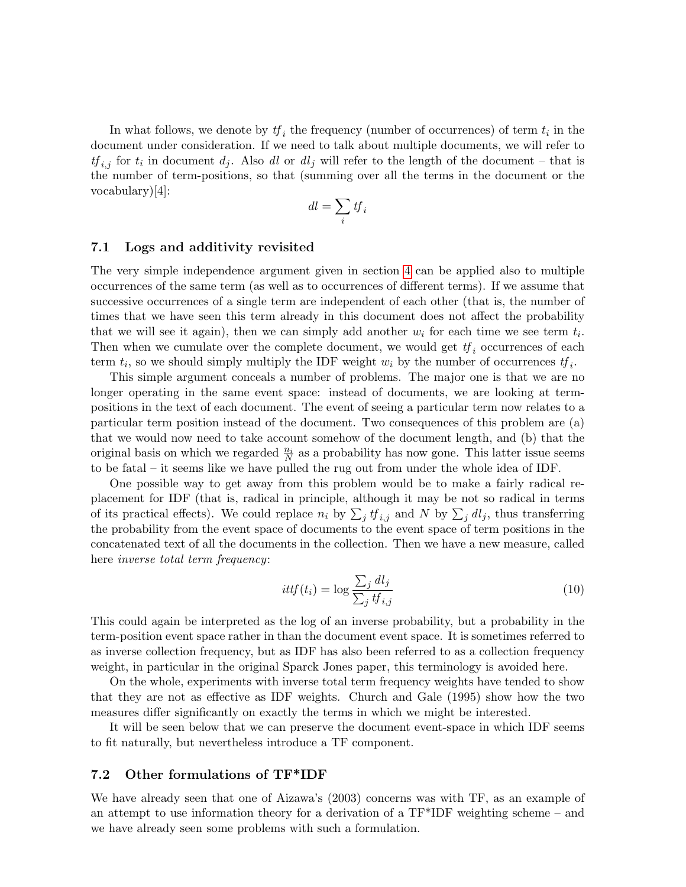In what follows, we denote by  $tf_i$  the frequency (number of occurrences) of term  $t_i$  in the document under consideration. If we need to talk about multiple documents, we will refer to  $tf_{i,j}$  for  $t_i$  in document  $d_j$ . Also dl or  $dl_j$  will refer to the length of the document – that is the number of term-positions, so that (summing over all the terms in the document or the vocabulary)[4]:

$$
dl = \sum_{i} t f_i
$$

#### 7.1 Logs and additivity revisited

The very simple independence argument given in section [4](#page-1-1) can be applied also to multiple occurrences of the same term (as well as to occurrences of different terms). If we assume that successive occurrences of a single term are independent of each other (that is, the number of times that we have seen this term already in this document does not affect the probability that we will see it again), then we can simply add another  $w_i$  for each time we see term  $t_i$ . Then when we cumulate over the complete document, we would get  $tf_i$  occurrences of each term  $t_i$ , so we should simply multiply the IDF weight  $w_i$  by the number of occurrences  $tf_i$ .

This simple argument conceals a number of problems. The major one is that we are no longer operating in the same event space: instead of documents, we are looking at termpositions in the text of each document. The event of seeing a particular term now relates to a particular term position instead of the document. Two consequences of this problem are (a) that we would now need to take account somehow of the document length, and (b) that the original basis on which we regarded  $\frac{n_i}{N}$  as a probability has now gone. This latter issue seems to be fatal – it seems like we have pulled the rug out from under the whole idea of IDF.

One possible way to get away from this problem would be to make a fairly radical replacement for IDF (that is, radical in principle, although it may be not so radical in terms of its practical effects). We could replace  $n_i$  by  $\sum_j tf_{i,j}$  and N by  $\sum_j dl_j$ , thus transferring the probability from the event space of documents to the event space of term positions in the concatenated text of all the documents in the collection. Then we have a new measure, called here inverse total term frequency:

$$
ittf(t_i) = \log \frac{\sum_j dl_j}{\sum_j tf_{i,j}}\tag{10}
$$

This could again be interpreted as the log of an inverse probability, but a probability in the term-position event space rather in than the document event space. It is sometimes referred to as inverse collection frequency, but as IDF has also been referred to as a collection frequency weight, in particular in the original Sparck Jones paper, this terminology is avoided here.

On the whole, experiments with inverse total term frequency weights have tended to show that they are not as effective as IDF weights. Church and Gale (1995) show how the two measures differ significantly on exactly the terms in which we might be interested.

It will be seen below that we can preserve the document event-space in which IDF seems to fit naturally, but nevertheless introduce a TF component.

#### 7.2 Other formulations of TF\*IDF

We have already seen that one of Aizawa's (2003) concerns was with TF, as an example of an attempt to use information theory for a derivation of a TF\*IDF weighting scheme – and we have already seen some problems with such a formulation.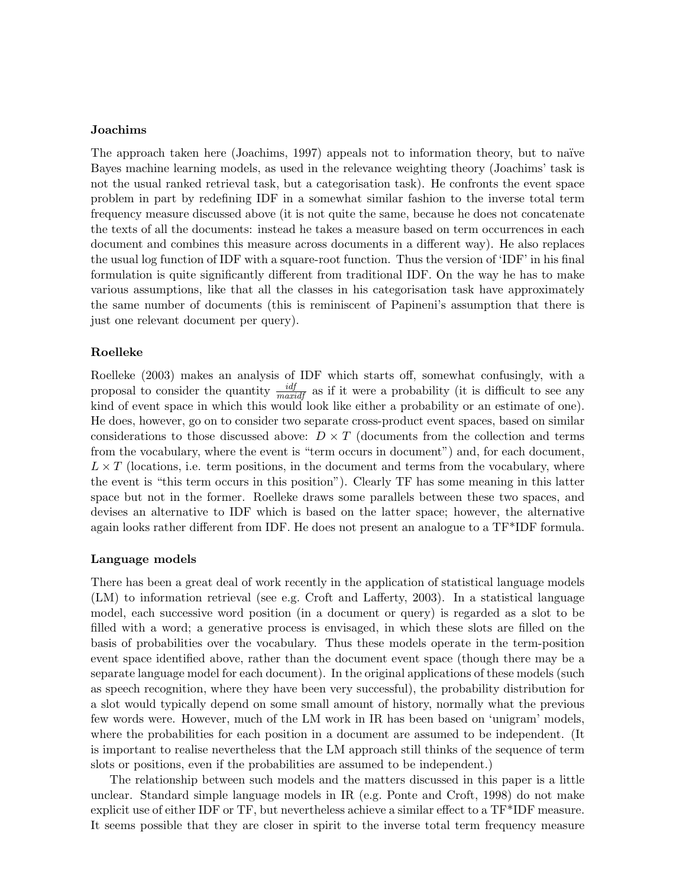### Joachims

The approach taken here (Joachims, 1997) appeals not to information theory, but to naïve Bayes machine learning models, as used in the relevance weighting theory (Joachims' task is not the usual ranked retrieval task, but a categorisation task). He confronts the event space problem in part by redefining IDF in a somewhat similar fashion to the inverse total term frequency measure discussed above (it is not quite the same, because he does not concatenate the texts of all the documents: instead he takes a measure based on term occurrences in each document and combines this measure across documents in a different way). He also replaces the usual log function of IDF with a square-root function. Thus the version of 'IDF' in his final formulation is quite significantly different from traditional IDF. On the way he has to make various assumptions, like that all the classes in his categorisation task have approximately the same number of documents (this is reminiscent of Papineni's assumption that there is just one relevant document per query).

#### Roelleke

Roelleke (2003) makes an analysis of IDF which starts off, somewhat confusingly, with a proposal to consider the quantity  $\frac{idf}{maxidf}$  as if it were a probability (it is difficult to see any kind of event space in which this would look like either a probability or an estimate of one). He does, however, go on to consider two separate cross-product event spaces, based on similar considerations to those discussed above:  $D \times T$  (documents from the collection and terms from the vocabulary, where the event is "term occurs in document") and, for each document,  $L \times T$  (locations, i.e. term positions, in the document and terms from the vocabulary, where the event is "this term occurs in this position"). Clearly TF has some meaning in this latter space but not in the former. Roelleke draws some parallels between these two spaces, and devises an alternative to IDF which is based on the latter space; however, the alternative again looks rather different from IDF. He does not present an analogue to a TF\*IDF formula.

#### Language models

There has been a great deal of work recently in the application of statistical language models (LM) to information retrieval (see e.g. Croft and Lafferty, 2003). In a statistical language model, each successive word position (in a document or query) is regarded as a slot to be filled with a word; a generative process is envisaged, in which these slots are filled on the basis of probabilities over the vocabulary. Thus these models operate in the term-position event space identified above, rather than the document event space (though there may be a separate language model for each document). In the original applications of these models (such as speech recognition, where they have been very successful), the probability distribution for a slot would typically depend on some small amount of history, normally what the previous few words were. However, much of the LM work in IR has been based on 'unigram' models, where the probabilities for each position in a document are assumed to be independent. (It is important to realise nevertheless that the LM approach still thinks of the sequence of term slots or positions, even if the probabilities are assumed to be independent.)

The relationship between such models and the matters discussed in this paper is a little unclear. Standard simple language models in IR (e.g. Ponte and Croft, 1998) do not make explicit use of either IDF or TF, but nevertheless achieve a similar effect to a TF\*IDF measure. It seems possible that they are closer in spirit to the inverse total term frequency measure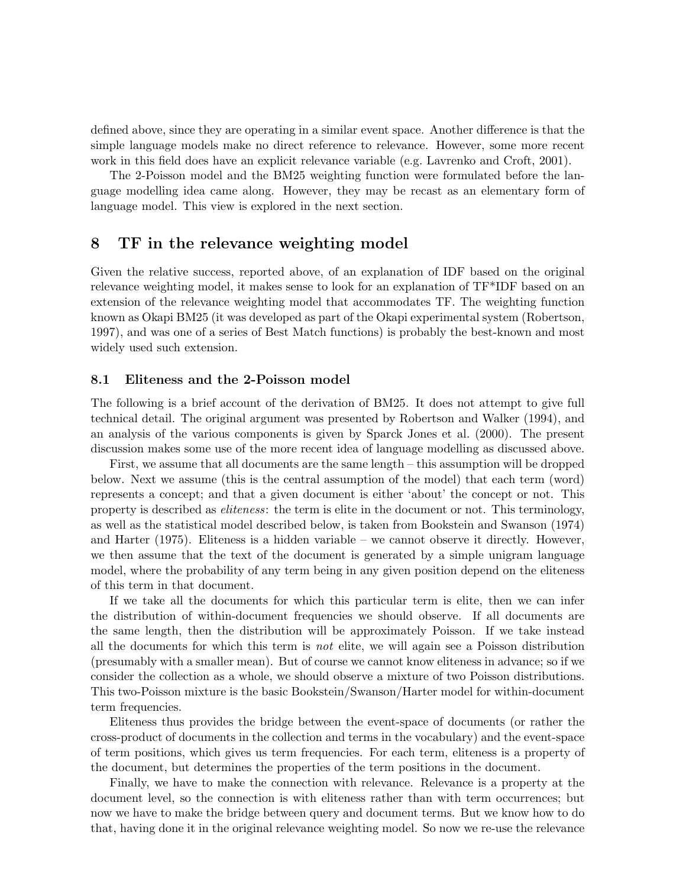defined above, since they are operating in a similar event space. Another difference is that the simple language models make no direct reference to relevance. However, some more recent work in this field does have an explicit relevance variable (e.g. Lavrenko and Croft, 2001).

The 2-Poisson model and the BM25 weighting function were formulated before the language modelling idea came along. However, they may be recast as an elementary form of language model. This view is explored in the next section.

# 8 TF in the relevance weighting model

Given the relative success, reported above, of an explanation of IDF based on the original relevance weighting model, it makes sense to look for an explanation of TF\*IDF based on an extension of the relevance weighting model that accommodates TF. The weighting function known as Okapi BM25 (it was developed as part of the Okapi experimental system (Robertson, 1997), and was one of a series of Best Match functions) is probably the best-known and most widely used such extension.

### 8.1 Eliteness and the 2-Poisson model

The following is a brief account of the derivation of BM25. It does not attempt to give full technical detail. The original argument was presented by Robertson and Walker (1994), and an analysis of the various components is given by Sparck Jones et al. (2000). The present discussion makes some use of the more recent idea of language modelling as discussed above.

First, we assume that all documents are the same length – this assumption will be dropped below. Next we assume (this is the central assumption of the model) that each term (word) represents a concept; and that a given document is either 'about' the concept or not. This property is described as *eliteness*: the term is elite in the document or not. This terminology, as well as the statistical model described below, is taken from Bookstein and Swanson (1974) and Harter (1975). Eliteness is a hidden variable – we cannot observe it directly. However, we then assume that the text of the document is generated by a simple unigram language model, where the probability of any term being in any given position depend on the eliteness of this term in that document.

If we take all the documents for which this particular term is elite, then we can infer the distribution of within-document frequencies we should observe. If all documents are the same length, then the distribution will be approximately Poisson. If we take instead all the documents for which this term is not elite, we will again see a Poisson distribution (presumably with a smaller mean). But of course we cannot know eliteness in advance; so if we consider the collection as a whole, we should observe a mixture of two Poisson distributions. This two-Poisson mixture is the basic Bookstein/Swanson/Harter model for within-document term frequencies.

Eliteness thus provides the bridge between the event-space of documents (or rather the cross-product of documents in the collection and terms in the vocabulary) and the event-space of term positions, which gives us term frequencies. For each term, eliteness is a property of the document, but determines the properties of the term positions in the document.

Finally, we have to make the connection with relevance. Relevance is a property at the document level, so the connection is with eliteness rather than with term occurrences; but now we have to make the bridge between query and document terms. But we know how to do that, having done it in the original relevance weighting model. So now we re-use the relevance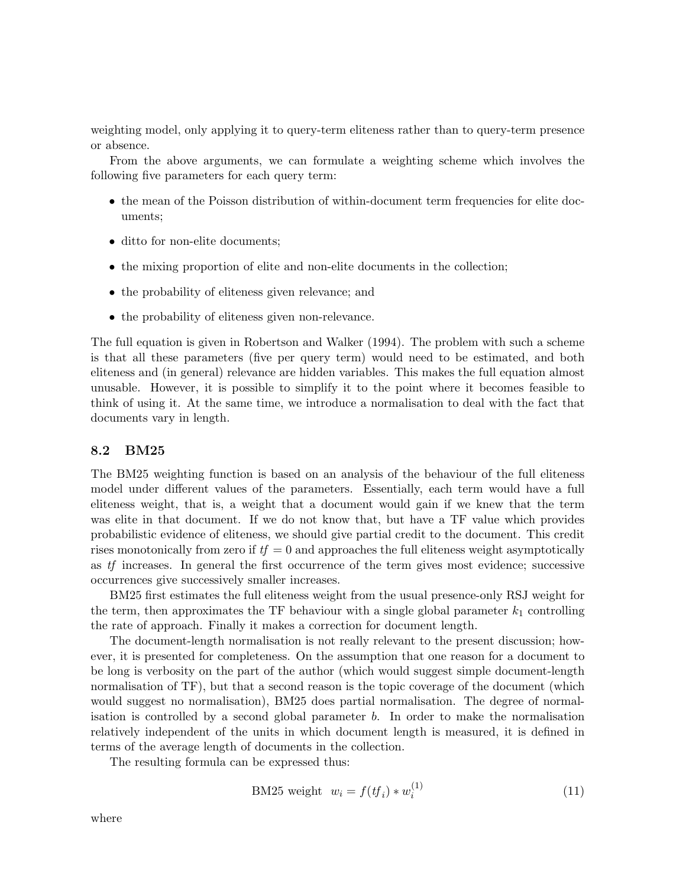weighting model, only applying it to query-term eliteness rather than to query-term presence or absence.

From the above arguments, we can formulate a weighting scheme which involves the following five parameters for each query term:

- the mean of the Poisson distribution of within-document term frequencies for elite documents;
- ditto for non-elite documents;
- the mixing proportion of elite and non-elite documents in the collection;
- the probability of eliteness given relevance; and
- the probability of eliteness given non-relevance.

The full equation is given in Robertson and Walker (1994). The problem with such a scheme is that all these parameters (five per query term) would need to be estimated, and both eliteness and (in general) relevance are hidden variables. This makes the full equation almost unusable. However, it is possible to simplify it to the point where it becomes feasible to think of using it. At the same time, we introduce a normalisation to deal with the fact that documents vary in length.

### 8.2 BM25

The BM25 weighting function is based on an analysis of the behaviour of the full eliteness model under different values of the parameters. Essentially, each term would have a full eliteness weight, that is, a weight that a document would gain if we knew that the term was elite in that document. If we do not know that, but have a TF value which provides probabilistic evidence of eliteness, we should give partial credit to the document. This credit rises monotonically from zero if  $tf = 0$  and approaches the full eliteness weight asymptotically as tf increases. In general the first occurrence of the term gives most evidence; successive occurrences give successively smaller increases.

BM25 first estimates the full eliteness weight from the usual presence-only RSJ weight for the term, then approximates the TF behaviour with a single global parameter  $k_1$  controlling the rate of approach. Finally it makes a correction for document length.

The document-length normalisation is not really relevant to the present discussion; however, it is presented for completeness. On the assumption that one reason for a document to be long is verbosity on the part of the author (which would suggest simple document-length normalisation of TF), but that a second reason is the topic coverage of the document (which would suggest no normalisation), BM25 does partial normalisation. The degree of normalisation is controlled by a second global parameter  $b$ . In order to make the normalisation relatively independent of the units in which document length is measured, it is defined in terms of the average length of documents in the collection.

The resulting formula can be expressed thus:

<span id="page-13-0"></span>
$$
BM25 weight \t w_i = f(tf_i) * w_i^{(1)}
$$
\t(11)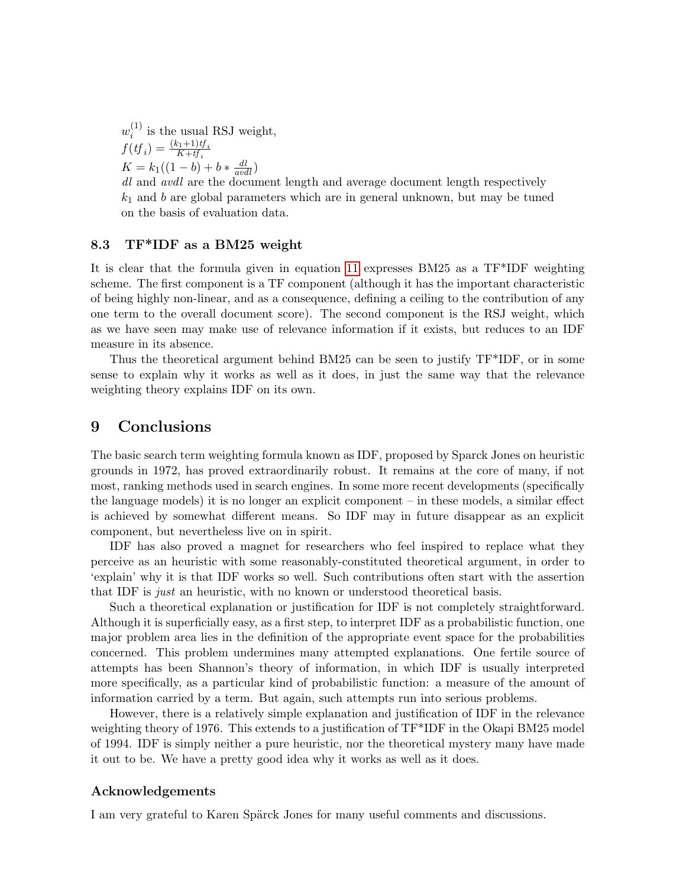$w_i^{(1)}$  $i^{(1)}$  is the usual RSJ weight,  $f(t f_i) = \frac{(k_1 + 1) t f_i}{K + t f_i}$  $K = k_1((1 - b) + b * \frac{dl}{avdl})$ 

dl and avdl are the document length and average document length respectively  $k_1$  and b are global parameters which are in general unknown, but may be tuned on the basis of evaluation data.

### 8.3 TF\*IDF as a BM25 weight

It is clear that the formula given in equation [11](#page-13-0) expresses BM25 as a TF\*IDF weighting scheme. The first component is a TF component (although it has the important characteristic of being highly non-linear, and as a consequence, defining a ceiling to the contribution of any one term to the overall document score). The second component is the RSJ weight, which as we have seen may make use of relevance information if it exists, but reduces to an IDF measure in its absence.

Thus the theoretical argument behind BM25 can be seen to justify TF\*IDF, or in some sense to explain why it works as well as it does, in just the same way that the relevance weighting theory explains IDF on its own.

## 9 Conclusions

The basic search term weighting formula known as IDF, proposed by Sparck Jones on heuristic grounds in 1972, has proved extraordinarily robust. It remains at the core of many, if not most, ranking methods used in search engines. In some more recent developments (specifically the language models) it is no longer an explicit component – in these models, a similar effect is achieved by somewhat different means. So IDF may in future disappear as an explicit component, but nevertheless live on in spirit.

IDF has also proved a magnet for researchers who feel inspired to replace what they perceive as an heuristic with some reasonably-constituted theoretical argument, in order to 'explain' why it is that IDF works so well. Such contributions often start with the assertion that IDF is *just* an heuristic, with no known or understood theoretical basis.

Such a theoretical explanation or justification for IDF is not completely straightforward. Although it is superficially easy, as a first step, to interpret IDF as a probabilistic function, one major problem area lies in the definition of the appropriate event space for the probabilities concerned. This problem undermines many attempted explanations. One fertile source of attempts has been Shannon's theory of information, in which IDF is usually interpreted more specifically, as a particular kind of probabilistic function: a measure of the amount of information carried by a term. But again, such attempts run into serious problems.

However, there is a relatively simple explanation and justification of IDF in the relevance weighting theory of 1976. This extends to a justification of TF\*IDF in the Okapi BM25 model of 1994. IDF is simply neither a pure heuristic, nor the theoretical mystery many have made it out to be. We have a pretty good idea why it works as well as it does.

#### Acknowledgements

I am very grateful to Karen Spärck Jones for many useful comments and discussions.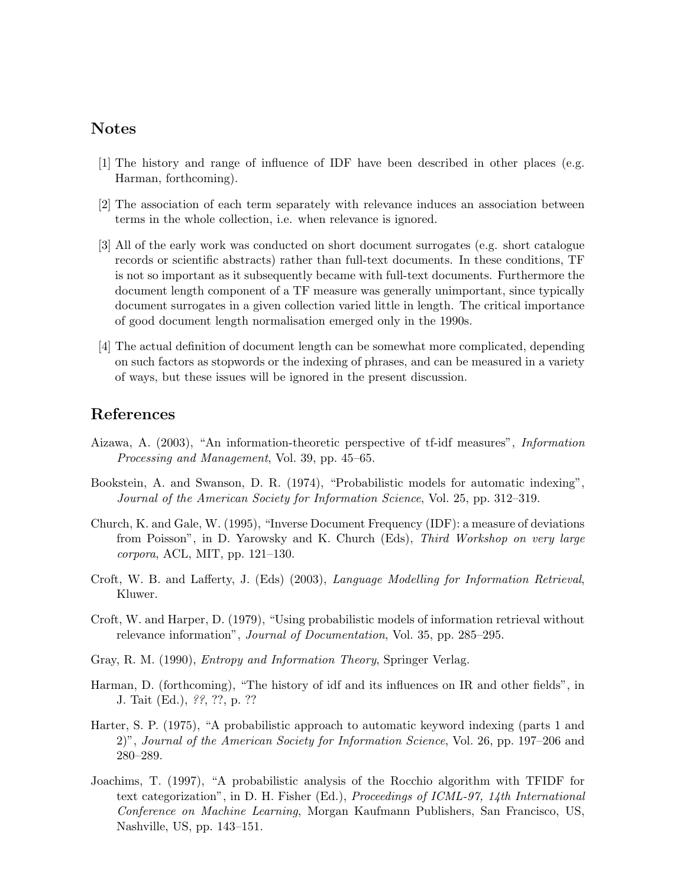# Notes

- [1] The history and range of influence of IDF have been described in other places (e.g. Harman, forthcoming).
- [2] The association of each term separately with relevance induces an association between terms in the whole collection, i.e. when relevance is ignored.
- [3] All of the early work was conducted on short document surrogates (e.g. short catalogue records or scientific abstracts) rather than full-text documents. In these conditions, TF is not so important as it subsequently became with full-text documents. Furthermore the document length component of a TF measure was generally unimportant, since typically document surrogates in a given collection varied little in length. The critical importance of good document length normalisation emerged only in the 1990s.
- [4] The actual definition of document length can be somewhat more complicated, depending on such factors as stopwords or the indexing of phrases, and can be measured in a variety of ways, but these issues will be ignored in the present discussion.

# References

- Aizawa, A. (2003), "An information-theoretic perspective of tf-idf measures", Information Processing and Management, Vol. 39, pp. 45–65.
- Bookstein, A. and Swanson, D. R. (1974), "Probabilistic models for automatic indexing", Journal of the American Society for Information Science, Vol. 25, pp. 312–319.
- Church, K. and Gale, W. (1995), "Inverse Document Frequency (IDF): a measure of deviations from Poisson", in D. Yarowsky and K. Church (Eds), Third Workshop on very large corpora, ACL, MIT, pp. 121–130.
- Croft, W. B. and Lafferty, J. (Eds) (2003), Language Modelling for Information Retrieval, Kluwer.
- Croft, W. and Harper, D. (1979), "Using probabilistic models of information retrieval without relevance information", *Journal of Documentation*, Vol. 35, pp. 285–295.
- Gray, R. M. (1990), Entropy and Information Theory, Springer Verlag.
- Harman, D. (forthcoming), "The history of idf and its influences on IR and other fields", in J. Tait (Ed.), ??, ??, p. ??
- Harter, S. P. (1975), "A probabilistic approach to automatic keyword indexing (parts 1 and 2)", Journal of the American Society for Information Science, Vol. 26, pp. 197–206 and 280–289.
- Joachims, T. (1997), "A probabilistic analysis of the Rocchio algorithm with TFIDF for text categorization", in D. H. Fisher (Ed.), Proceedings of ICML-97, 14th International Conference on Machine Learning, Morgan Kaufmann Publishers, San Francisco, US, Nashville, US, pp. 143–151.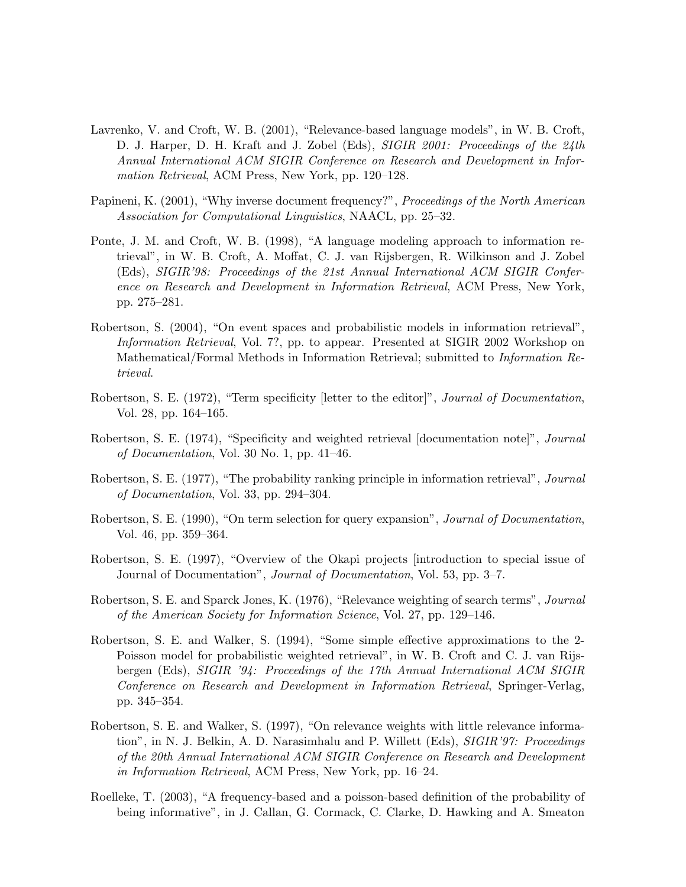- Lavrenko, V. and Croft, W. B. (2001), "Relevance-based language models", in W. B. Croft, D. J. Harper, D. H. Kraft and J. Zobel (Eds), *SIGIR 2001: Proceedings of the 24th* Annual International ACM SIGIR Conference on Research and Development in Information Retrieval, ACM Press, New York, pp. 120–128.
- Papineni, K. (2001), "Why inverse document frequency?", *Proceedings of the North American* Association for Computational Linguistics, NAACL, pp. 25–32.
- Ponte, J. M. and Croft, W. B. (1998), "A language modeling approach to information retrieval", in W. B. Croft, A. Moffat, C. J. van Rijsbergen, R. Wilkinson and J. Zobel (Eds), SIGIR'98: Proceedings of the 21st Annual International ACM SIGIR Conference on Research and Development in Information Retrieval, ACM Press, New York, pp. 275–281.
- Robertson, S. (2004), "On event spaces and probabilistic models in information retrieval", Information Retrieval, Vol. 7?, pp. to appear. Presented at SIGIR 2002 Workshop on Mathematical/Formal Methods in Information Retrieval; submitted to Information Retrieval.
- Robertson, S. E. (1972), "Term specificity [letter to the editor]", Journal of Documentation, Vol. 28, pp. 164–165.
- Robertson, S. E. (1974), "Specificity and weighted retrieval [documentation note]", Journal of Documentation, Vol. 30 No. 1, pp. 41–46.
- Robertson, S. E. (1977), "The probability ranking principle in information retrieval", Journal of Documentation, Vol. 33, pp. 294–304.
- Robertson, S. E. (1990), "On term selection for query expansion", Journal of Documentation, Vol. 46, pp. 359–364.
- Robertson, S. E. (1997), "Overview of the Okapi projects [introduction to special issue of Journal of Documentation", *Journal of Documentation*, Vol. 53, pp. 3–7.
- Robertson, S. E. and Sparck Jones, K. (1976), "Relevance weighting of search terms", Journal of the American Society for Information Science, Vol. 27, pp. 129–146.
- Robertson, S. E. and Walker, S. (1994), "Some simple effective approximations to the 2- Poisson model for probabilistic weighted retrieval", in W. B. Croft and C. J. van Rijsbergen (Eds), SIGIR '94: Proceedings of the 17th Annual International ACM SIGIR Conference on Research and Development in Information Retrieval, Springer-Verlag, pp. 345–354.
- Robertson, S. E. and Walker, S. (1997), "On relevance weights with little relevance information", in N. J. Belkin, A. D. Narasimhalu and P. Willett (Eds), *SIGIR'97: Proceedings* of the 20th Annual International ACM SIGIR Conference on Research and Development in Information Retrieval, ACM Press, New York, pp. 16–24.
- Roelleke, T. (2003), "A frequency-based and a poisson-based definition of the probability of being informative", in J. Callan, G. Cormack, C. Clarke, D. Hawking and A. Smeaton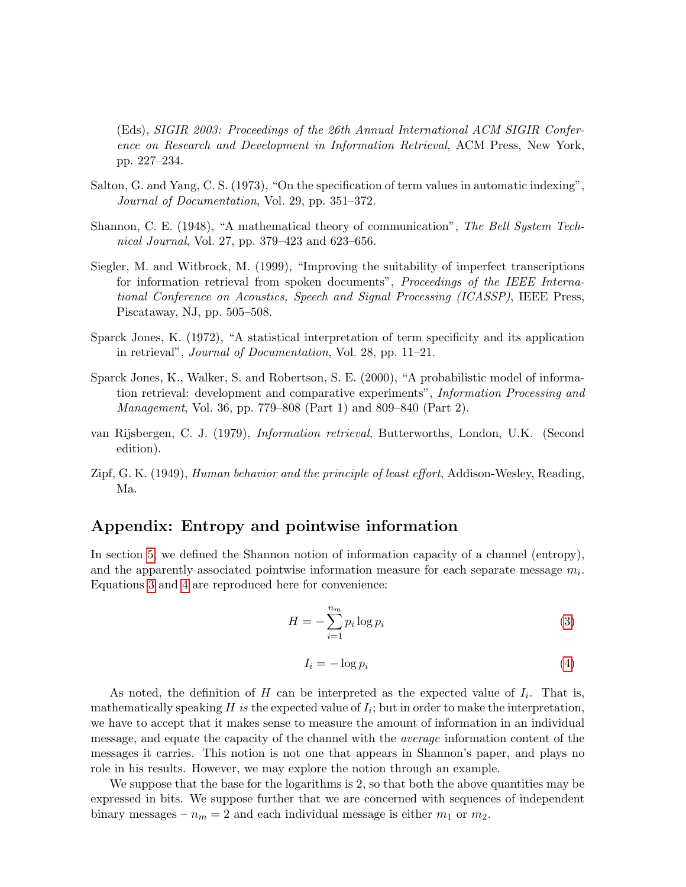(Eds), SIGIR 2003: Proceedings of the 26th Annual International ACM SIGIR Conference on Research and Development in Information Retrieval, ACM Press, New York, pp. 227–234.

- Salton, G. and Yang, C. S. (1973), "On the specification of term values in automatic indexing", Journal of Documentation, Vol. 29, pp. 351–372.
- Shannon, C. E. (1948), "A mathematical theory of communication", The Bell System Technical Journal, Vol. 27, pp. 379–423 and 623–656.
- Siegler, M. and Witbrock, M. (1999), "Improving the suitability of imperfect transcriptions for information retrieval from spoken documents", *Proceedings of the IEEE Interna*tional Conference on Acoustics, Speech and Signal Processing (ICASSP), IEEE Press, Piscataway, NJ, pp. 505–508.
- Sparck Jones, K. (1972), "A statistical interpretation of term specificity and its application in retrieval", Journal of Documentation, Vol. 28, pp. 11–21.
- Sparck Jones, K., Walker, S. and Robertson, S. E. (2000), "A probabilistic model of information retrieval: development and comparative experiments", Information Processing and Management, Vol. 36, pp. 779–808 (Part 1) and 809–840 (Part 2).
- van Rijsbergen, C. J. (1979), Information retrieval, Butterworths, London, U.K. (Second edition).
- Zipf, G. K. (1949), Human behavior and the principle of least effort, Addison-Wesley, Reading, Ma.

# Appendix: Entropy and pointwise information

In section [5,](#page-3-1) we defined the Shannon notion of information capacity of a channel (entropy), and the apparently associated pointwise information measure for each separate message  $m_i$ . Equations [3](#page-3-0) and [4](#page-3-2) are reproduced here for convenience:

$$
H = -\sum_{i=1}^{n_m} p_i \log p_i \tag{3}
$$

$$
I_i = -\log p_i \tag{4}
$$

As noted, the definition of  $H$  can be interpreted as the expected value of  $I_i$ . That is, mathematically speaking  $H$  is the expected value of  $I_i$ ; but in order to make the interpretation, we have to accept that it makes sense to measure the amount of information in an individual message, and equate the capacity of the channel with the *average* information content of the messages it carries. This notion is not one that appears in Shannon's paper, and plays no role in his results. However, we may explore the notion through an example.

We suppose that the base for the logarithms is 2, so that both the above quantities may be expressed in bits. We suppose further that we are concerned with sequences of independent binary messages –  $n_m = 2$  and each individual message is either  $m_1$  or  $m_2$ .